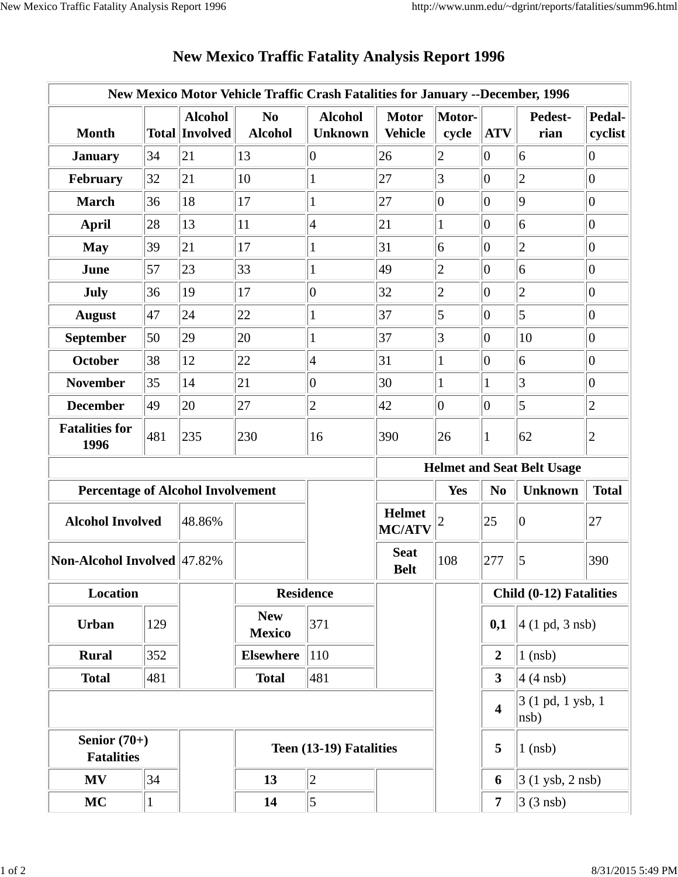|                                          |              |                                         | New Mexico Motor Vehicle Traffic Crash Fatalities for January --December, 1996 |                                  |                                |                 |                         |                                   |                   |
|------------------------------------------|--------------|-----------------------------------------|--------------------------------------------------------------------------------|----------------------------------|--------------------------------|-----------------|-------------------------|-----------------------------------|-------------------|
| <b>Month</b>                             |              | <b>Alcohol</b><br><b>Total Involved</b> | N <sub>0</sub><br><b>Alcohol</b>                                               | <b>Alcohol</b><br><b>Unknown</b> | <b>Motor</b><br><b>Vehicle</b> | Motor-<br>cycle | <b>ATV</b>              | Pedest-<br>rian                   | Pedal-<br>cyclist |
| <b>January</b>                           | 34           | 21                                      | 13                                                                             | $\overline{0}$                   | 26                             | $\overline{c}$  | $\overline{0}$          | 6                                 | 0                 |
| February                                 | 32           | 21                                      | 10                                                                             | $\mathbf{1}$                     | 27                             | 3               | $\overline{0}$          | $\overline{2}$                    | $ 0\rangle$       |
| <b>March</b>                             | 36           | 18                                      | 17                                                                             | $\mathbf{1}$                     | 27                             | $ 0\rangle$     | $\overline{0}$          | $\overline{9}$                    | $\overline{0}$    |
| <b>April</b>                             | 28           | 13                                      | 11                                                                             | $\overline{4}$                   | 21                             | 1               | $\overline{0}$          | 6                                 | $ 0\rangle$       |
| <b>May</b>                               | 39           | 21                                      | 17                                                                             | $\mathbf{1}$                     | 31                             | 6               | $ 0\rangle$             | $\overline{c}$                    | $ 0\rangle$       |
| June                                     | 57           | 23                                      | 33                                                                             |                                  | 49                             | $\overline{2}$  | $\overline{0}$          | 6                                 | $\overline{0}$    |
| July                                     | 36           | 19                                      | 17                                                                             | $\vert 0 \vert$                  | 32                             | $\overline{c}$  | $\overline{0}$          | $\overline{c}$                    | $ 0\rangle$       |
| <b>August</b>                            | 47           | 24                                      | 22                                                                             | $\mathbf{1}$                     | 37                             | 5               | $\overline{0}$          | $\overline{5}$                    | $\overline{0}$    |
| <b>September</b>                         | 50           | 29                                      | 20                                                                             | $\mathbf{1}$                     | 37                             | 3               | $\overline{0}$          | 10                                | $\vert 0 \vert$   |
| <b>October</b>                           | 38           | 12                                      | 22                                                                             | $\vert 4 \vert$                  | 31                             | 1               | $\overline{0}$          | $\overline{6}$                    | $ 0\rangle$       |
| <b>November</b>                          | 35           | 14                                      | 21                                                                             | $\vert 0 \vert$                  | 30                             | $\mathbf{1}$    | 1                       | 3                                 | $ 0\rangle$       |
| <b>December</b>                          | 49           | 20                                      | 27                                                                             | $\overline{2}$                   | 42                             | $ 0\rangle$     | $ 0\rangle$             | 5                                 | $\sqrt{2}$        |
| <b>Fatalities for</b><br>1996            | 481          | 235                                     | 230                                                                            | 16                               | 390                            | 26              | 1                       | 62                                | $\mathbf{2}$      |
|                                          |              |                                         |                                                                                |                                  |                                |                 |                         | <b>Helmet and Seat Belt Usage</b> |                   |
| <b>Percentage of Alcohol Involvement</b> |              |                                         |                                                                                |                                  |                                | Yes             | N <sub>0</sub>          | <b>Unknown</b>                    | <b>Total</b>      |
| <b>Alcohol Involved</b>                  |              | 48.86%                                  |                                                                                |                                  | <b>Helmet</b><br><b>MC/ATV</b> |                 | 25                      | $\boldsymbol{0}$                  | 27                |
| Non-Alcohol Involved 47.82%              |              |                                         |                                                                                |                                  | <b>Seat</b><br><b>Belt</b>     | 108             | 277                     | 5                                 | 390               |
| Location                                 |              |                                         | <b>Residence</b>                                                               |                                  |                                |                 | Child (0-12) Fatalities |                                   |                   |
| Urban                                    | 129          |                                         | <b>New</b><br><b>Mexico</b>                                                    | 371                              |                                |                 | 0,1                     | $4(1 \text{ pd}, 3 \text{ nsb})$  |                   |
| <b>Rural</b>                             | 352          |                                         | <b>Elsewhere</b>                                                               | <sup>110</sup>                   |                                |                 | $\overline{2}$          | $1$ (nsb)                         |                   |
| <b>Total</b>                             | 481          |                                         | <b>Total</b>                                                                   | 481                              |                                |                 | 3 <sup>1</sup>          | $4(4$ nsb)                        |                   |
|                                          |              |                                         |                                                                                |                                  |                                |                 | $\overline{\mathbf{4}}$ | 3 (1 pd, 1 ysb, 1)<br>nsb)        |                   |
| Senior $(70+)$<br><b>Fatalities</b>      |              |                                         | Teen (13-19) Fatalities                                                        |                                  |                                |                 | 5                       | $1$ (nsb)                         |                   |
| MV                                       | 34           |                                         | 13                                                                             | $\overline{2}$                   |                                |                 | 6                       | 3 (1 ysb, 2 nsb)                  |                   |
| <b>MC</b>                                | $\mathbf{1}$ |                                         | 14                                                                             | 5                                |                                |                 | $\overline{7}$          | $3(3$ nsb)                        |                   |

## **New Mexico Traffic Fatality Analysis Report 1996**